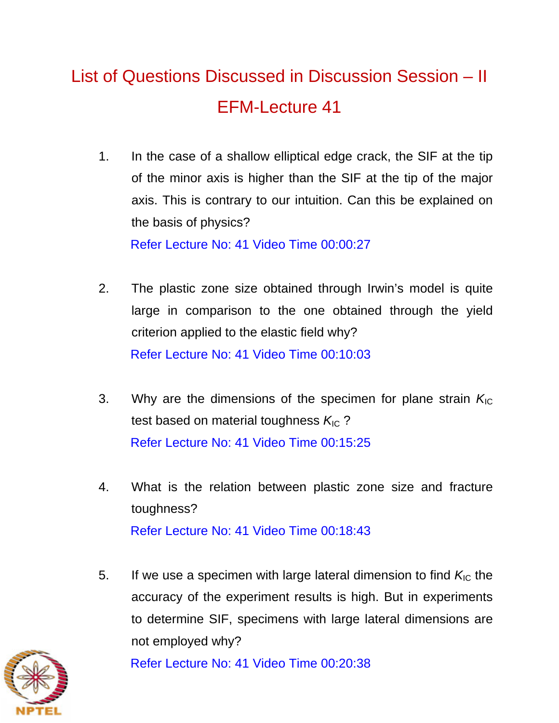## List of Questions Discussed in Discussion Session – II EFM-Lecture 41

- 1. In the case of a shallow elliptical edge crack, the SIF at the tip of the minor axis is higher than the SIF at the tip of the major axis. This is contrary to our intuition. Can this be explained on the basis of physics? Refer Lecture No: 41 Video Time 00:00:27
- 2. The plastic zone size obtained through Irwin's model is quite large in comparison to the one obtained through the yield criterion applied to the elastic field why? Refer Lecture No: 41 Video Time 00:10:03
- 3. Why are the dimensions of the specimen for plane strain  $K_{IC}$ test based on material toughness  $K_{\text{IC}}$ ? Refer Lecture No: 41 Video Time 00:15:25
- 4. What is the relation between plastic zone size and fracture toughness? Refer Lecture No: 41 Video Time 00:18:43
- 5. If we use a specimen with large lateral dimension to find  $K_{IC}$  the accuracy of the experiment results is high. But in experiments to determine SIF, specimens with large lateral dimensions are not employed why?



Refer Lecture No: 41 Video Time 00:20:38